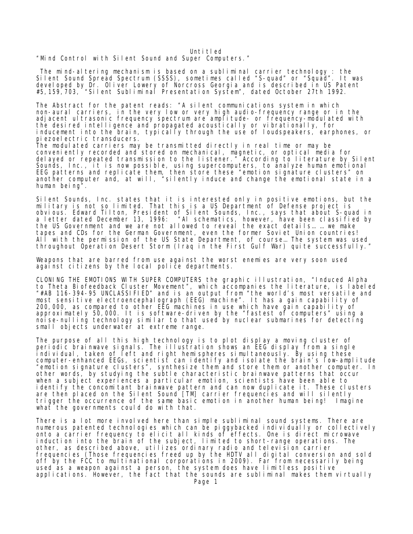Unti tled

"Mind Control with Silent Sound and Super Computers."

 The mind-altering mechanism is based on a subliminal carrier technology : the Silent Sound Spread Spectrum (SSSS), sometimes called "S-quad" or "Squad". It was developed by Dr. Oliver Lowery of Norcross Georgia and is described in US Patent #5,159,703, "Silent Subliminal Presentation System", dated October 27th 1992.

The Abstract for the patent reads: "A silent communications system in which non-aural carriers, in the very low or very high audio-frequency range or in the adjacent ultrasonic frequency spectrum are amplitude- or frequency-modulated with the desired intelligence and propagated acoustically or vibrationally, for inducement into the brain, typically through the use of loudspeakers, earphones, or piezoel ectric transducers. The modulated carriers may be transmitted directly in real time or may be conveniently recorded and stored on mechanical, magnetic, or optical media for delayed or repeated transmission to the listener." According to literature by Silent Sounds, Inc., it is now possible, using supercomputers, to analyze human emotional EEG patterns and replicate them, then store these "emotion signature clusters" on another computer and, at will, "silently induce and change the emotional state in a human being".

Silent Sounds, Inc. states that it is interested only in positive emotions, but the military is not so limited. That this is a US Department of Defense project is obvious. Edward Tilton, President of Silent Sounds, Inc., says that about S-quad in a letter dated December 13, 1996: "Al schematics, however, have been classified by the US Government and we are not allowed to reveal the exact details… … we make tapes and CDs for the German Government, even the former Soviet Union countries! All with the permission of the US State Department, of course… The system was used throughout Operation Desert Storm (Iraq in the First Gulf War) quite successfully."

Weapons that are barred from use against the worst enemies are very soon used against citizens by the local police departments.

CLONING THE EMOTIONS WITH SUPER COMPUTERS the graphic illustration, "Induced Alpha to Theta Biofeedback Cluster Movement", which accompanies the literature, is labeled "#AB 116-394-95 UNCLASSIFIED" and is an output from "the world's most versatile and most sensitive electroencephalograph (EEG) machine". It has a gain capability of 200,000, as compared to other EEG machines in use which have gain capability of approximately 50,000. It is software-driven by the "fastest of computers" using a noise-nulling technology similar to that used by nuclear submarines for detecting small objects underwater at extreme range.

The purpose of all this high technology is to plot display a moving cluster of periodic brainwave signals. The illustration shows an EEG display from a single individual, taken of left and right hemispheres simultaneously. By using these computer-enhanced EEGs, scientist can identify and isolate the brain's low-amplitude "emotion signature clusters", synthesize them and store them or another computer. In other words, by studying the subtle characteristic brainwave patterns that occur when a subject experiences a particular emotion, scientists have been able to identify the concomitant brainwave pattern and can now duplicate it. These clusters are then placed on the Silent Sound [TM] carrier frequencies and will silently trigger the occurrence of the same basic emotion in another human being! Imagine what the governments could do with that.

There is a lot more involved here than simple subliminal sound systems. There are numerous patented technologies which can be piggybacked individually or collectively onto a carrier frequency to elicit all kinds of effects. One is direct microwave induction into the brain of the subject, limited to short-range operations. The other, as described above, utilizes ordinary radio and television carrier frequencies (Those frequencies freed up by the HDTV all digital conversion and sold off by the FCC to multinational corporations in 2009). Far from necessarily being used as a weapon against a person, the system does have limitless positive applications. However, the fact that the sounds are subliminal makes them virtually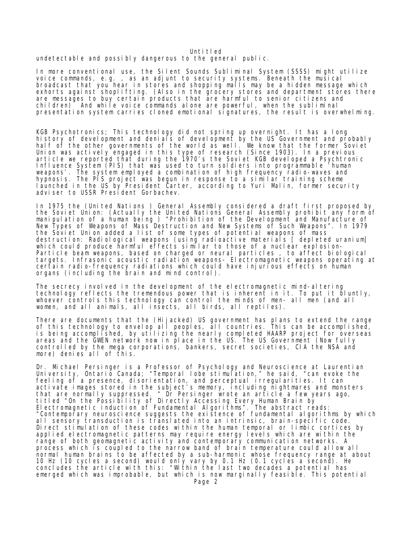## Unti tled

## undetectable and possibly dangerous to the general public.

In more conventional use, the Silent Sounds Subliminal System (SSSS) might utilize voice commands, e.g. , as an adjunt to security systems. Beneath the musical broadcast that you hear in stores and shopping malls may be a hidden message which exhorts against shoplifting. (Also in the grocery stores and department stores there are messages to buy certain products that are harmful to senior citizens and children) And while voice commands alone are powerful, when the subliminal presentation system carries cloned emotional signatures, the result is overwhelming.

KGB Psychotronics; This technology did not spring up overnight. It has a long history of development and denials of development by the US Government and probably half of the other governments of the world as well. We know that the former Soviet Union was actively engaged in this type of research (Since 1903). In a previous article we reported that during the 1970's the Soviet KGB developed a Psychtronic Influence System (PIS) that was used to turn soldiers into programmable 'human weapons'. The system employed a combination of high frequency radio-waves and hypnosis. The PIS project was begun in response to a similar training scheme launched in the US by President Carter, according to Yuri Malin, former security adviser to USSR President Gorbachev.

In 1975 the (United Nations ) General Assembly considered a draft first proposed by the Soviet Union: (Actually the United Nations General Assembly prohibit any form of manipulation of a human being ) "Prohibition of the Development and Manufacture of New Types of Weapons of Mass Destruction and New Systems of Such Weapons". In 1979 the Soviet Union added a list of some types of potential weapons of mass destruction: Radiological weapons (using radioactive materials [ depleted uranium] which could produce harmful effects similar to those of a nuclear explosion-Particle beam weapons, based on charged or neural particles , to affect biological targets. Infrasonic acoustic radiation weapons- Electromagnetic weapons operating at certain radio-frequency radiations which could have injurious effects on human organs (including the brain and mind control).

The secrecy involved in the development of the electromagnetic mind-altering technology reflects the tremendous power that is inherent in it. To put it bluntly, whoever controls this technology can control the minds of men- all men (and all women, and all animals, all insects, all birds, all reptiles).

There are documents that the (Hijacked) US government has plans to extend the range of this technology to envelop all peoples, all countries. This can be accomplished, is being accomplished, by utilizing the nearly completed HAARP project for overseas areas and the GWEN network now in place in the US. The US Government (Now fully controlled by the mega corporations, bankers, secret societies, CIA the NSA and more) denies all of this.

Dr. Michael Persinger is a Professor of Psychology and Neuroscience at Laurentian University, Ontario Canada; "Temporal lobe stimulation," he said, "can evoke the feeling of a presence, disorientation, and perceptual irregularities. It can activate images stored in the subject's memory, including nightmares and monsters that are normally suppressed. " Dr Persinger wrote an article a few years ago, titled "On the Possibility of Directly Accessing Every Human Brain by Electromagnetic induction of Fundamental Algorithms". The abstract reads: "Contemporary neuroscience suggests the existence of fundamental algorithms by which all sensory transduction is translated into an intrinsic, brain-specific code. Direct stimulation of these codes within the human temporal or limbic cortices by applied electromagnetic patterns may require energy levels which are within the range of both geomagnetic activity and contemporary communication networks. A process which is coupled to the narrow band of brain temperature could allow all normal human brains to be affected by a sub-harmonic whose frequency range at about 10 Hz (10 cycles a second) would only vary by 0.1 Hz (0.1 cycles a second). He concludes the article with this: "Within the last two decades a potential has emerged which was improbable, but which is now marginally feasible. This potential